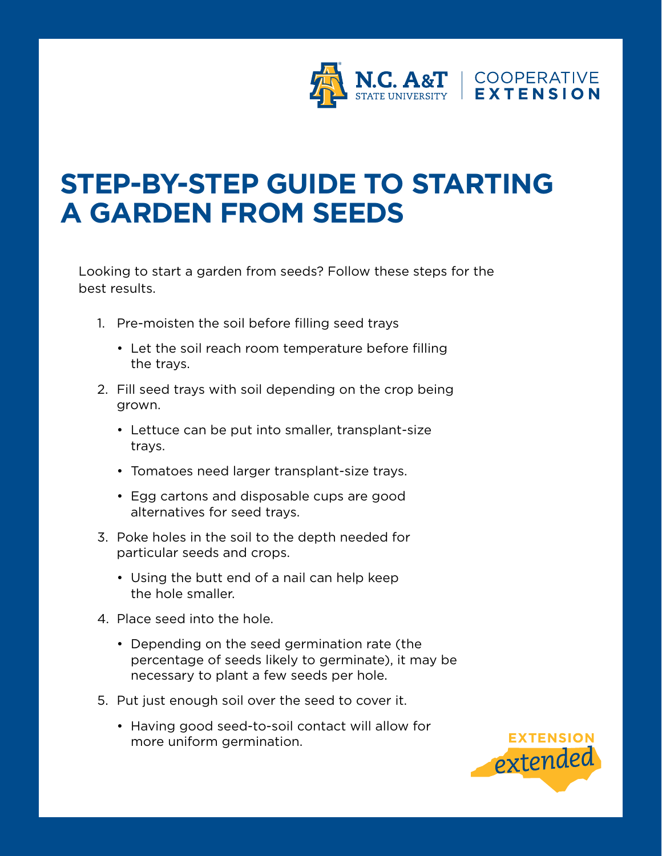

## **STEP-BY-STEP GUIDE TO STARTING A GARDEN FROM SEEDS**

Looking to start a garden from seeds? Follow these steps for the best results.

- 1. Pre-moisten the soil before filling seed trays
	- Let the soil reach room temperature before filling the trays.
- 2. Fill seed trays with soil depending on the crop being grown.
	- Lettuce can be put into smaller, transplant-size trays.
	- Tomatoes need larger transplant-size trays.
	- Egg cartons and disposable cups are good alternatives for seed trays.
- 3. Poke holes in the soil to the depth needed for particular seeds and crops.
	- Using the butt end of a nail can help keep the hole smaller.
- 4. Place seed into the hole.
	- Depending on the seed germination rate (the percentage of seeds likely to germinate), it may be necessary to plant a few seeds per hole.
- 5. Put just enough soil over the seed to cover it.
	- Having good seed-to-soil contact will allow for more uniform germination.

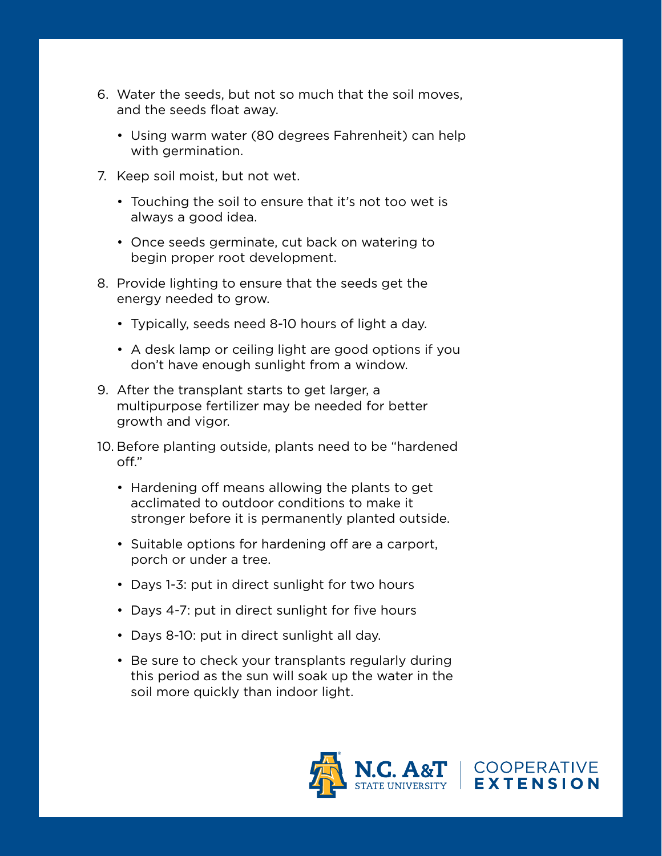- 6. Water the seeds, but not so much that the soil moves, and the seeds float away.
	- Using warm water (80 degrees Fahrenheit) can help with germination.
- 7. Keep soil moist, but not wet.
	- Touching the soil to ensure that it's not too wet is always a good idea.
	- Once seeds germinate, cut back on watering to begin proper root development.
- 8. Provide lighting to ensure that the seeds get the energy needed to grow.
	- Typically, seeds need 8-10 hours of light a day.
	- A desk lamp or ceiling light are good options if you don't have enough sunlight from a window.
- 9. After the transplant starts to get larger, a multipurpose fertilizer may be needed for better growth and vigor.
- 10. Before planting outside, plants need to be "hardened off."
	- Hardening off means allowing the plants to get acclimated to outdoor conditions to make it stronger before it is permanently planted outside.
	- Suitable options for hardening off are a carport, porch or under a tree.
	- Days 1-3: put in direct sunlight for two hours
	- Days 4-7: put in direct sunlight for five hours
	- Days 8-10: put in direct sunlight all day.
	- Be sure to check your transplants regularly during this period as the sun will soak up the water in the soil more quickly than indoor light.